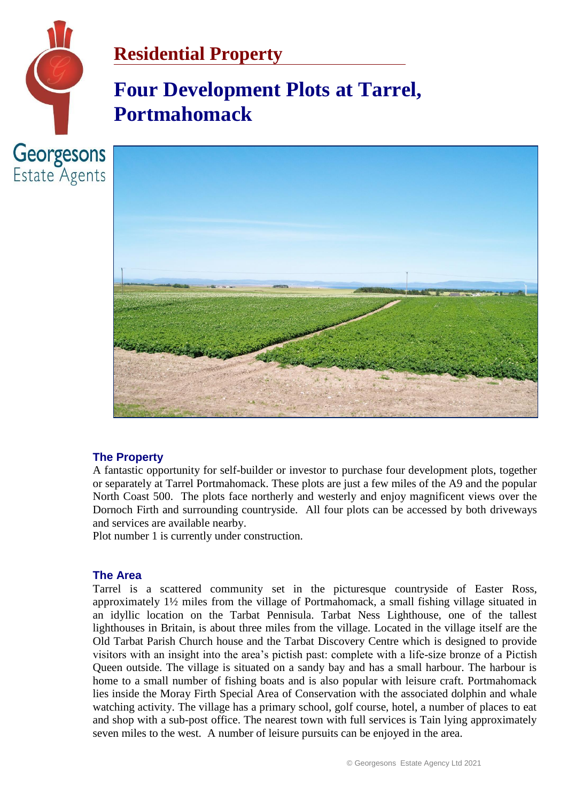

# **Four Development Plots at Tarrel, Portmahomack**



## **The Property**

A fantastic opportunity for self-builder or investor to purchase four development plots, together or separately at Tarrel Portmahomack. These plots are just a few miles of the A9 and the popular North Coast 500. The plots face northerly and westerly and enjoy magnificent views over the Dornoch Firth and surrounding countryside. All four plots can be accessed by both driveways and services are available nearby.

Plot number 1 is currently under construction.

### **The Area**

Tarrel is a scattered community set in the picturesque countryside of Easter Ross, approximately 1½ miles from the village of Portmahomack, a small fishing village situated in an idyllic location on the Tarbat Pennisula. Tarbat Ness Lighthouse, one of the tallest lighthouses in Britain, is about three miles from the village. Located in the village itself are the Old Tarbat Parish Church house and the Tarbat Discovery Centre which is designed to provide visitors with an insight into the area's pictish past: complete with a life-size bronze of a Pictish Queen outside. The village is situated on a sandy bay and has a small harbour. The harbour is home to a small number of fishing boats and is also popular with leisure craft. Portmahomack lies inside the Moray Firth Special Area of Conservation with the associated dolphin and whale watching activity. The village has a primary school, golf course, hotel, a number of places to eat and shop with a sub-post office. The nearest town with full services is Tain lying approximately seven miles to the west. A number of leisure pursuits can be enjoyed in the area.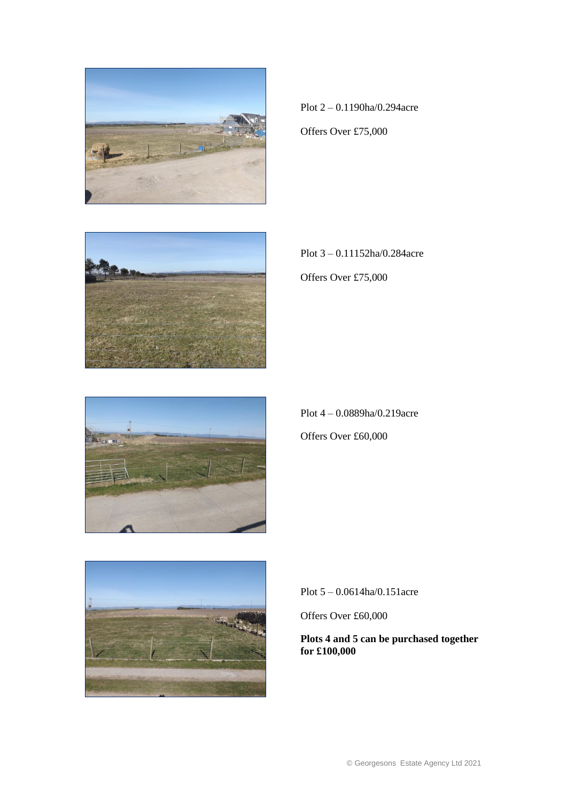

Plot 2 – 0.1190ha/0.294acre

Offers Over £75,000



Plot 3 – 0.11152ha/0.284acre

Offers Over £75,000



Plot 4 – 0.0889ha/0.219acre Offers Over £60,000



Plot 5 – 0.0614ha/0.151acre

Offers Over £60,000

#### **Plots 4 and 5 can be purchased together for £100,000**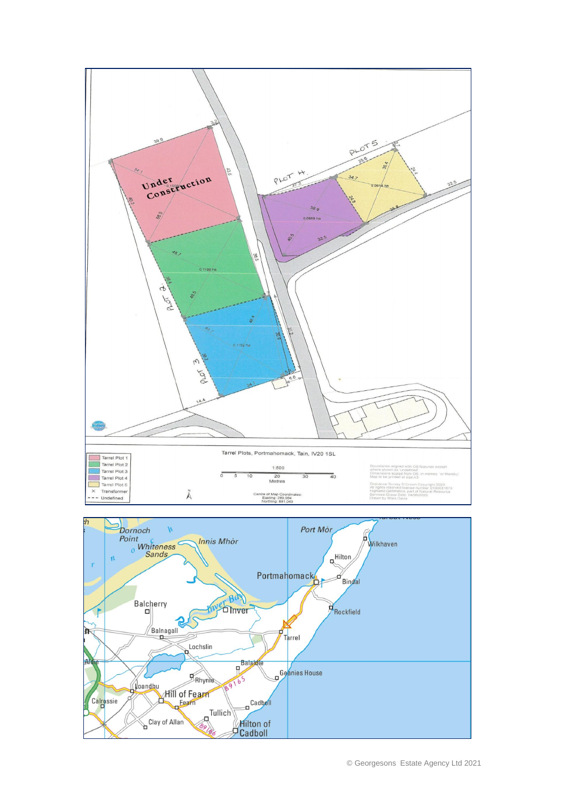